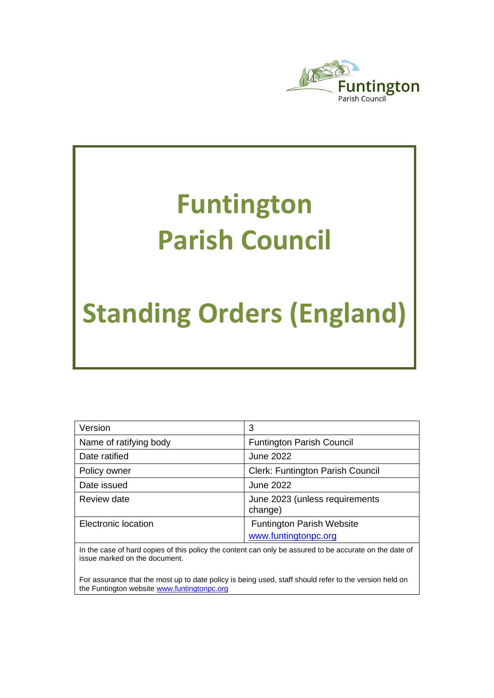

# **Funtington Parish Council**

## **Standing Orders (England)**

| Version                | 3                                         |
|------------------------|-------------------------------------------|
| Name of ratifying body | Funtington Parish Council                 |
| Date ratified          | <b>June 2022</b>                          |
| Policy owner           | <b>Clerk: Funtington Parish Council</b>   |
| Date issued            | <b>June 2022</b>                          |
| Review date            | June 2023 (unless requirements<br>change) |
| Electronic location    | <b>Funtington Parish Website</b>          |
|                        | www.funtingtonpc.org                      |

In the case of hard copies of this policy the content can only be assured to be accurate on the date of issue marked on the document.

For assurance that the most up to date policy is being used, staff should refer to the version held on the Funtington websit[e www.funtingtonpc.org](file:///C:/Users/Sheena/Documents/Parish%20Council/GDPR/Draft%20GDPR%20policies/www.funtingtonpc.org)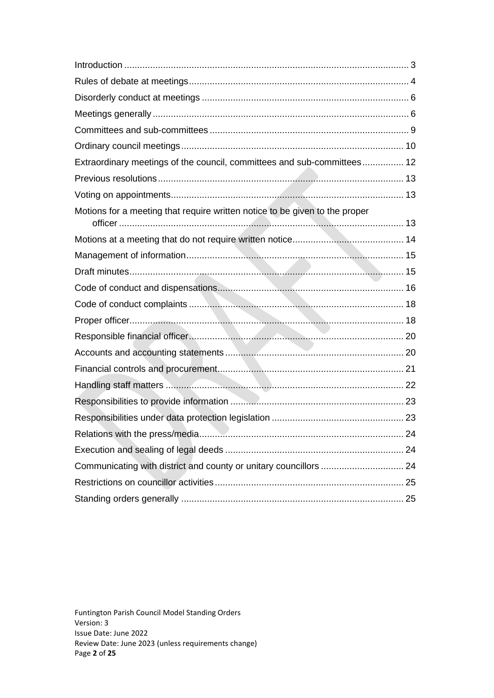| Extraordinary meetings of the council, committees and sub-committees 12     |  |
|-----------------------------------------------------------------------------|--|
|                                                                             |  |
|                                                                             |  |
| Motions for a meeting that require written notice to be given to the proper |  |
|                                                                             |  |
|                                                                             |  |
|                                                                             |  |
|                                                                             |  |
|                                                                             |  |
|                                                                             |  |
|                                                                             |  |
|                                                                             |  |
|                                                                             |  |
|                                                                             |  |
|                                                                             |  |
|                                                                             |  |
|                                                                             |  |
|                                                                             |  |
|                                                                             |  |
|                                                                             |  |
|                                                                             |  |

<span id="page-1-0"></span>Funtington Parish Council Model Standing Orders Version: 3 Issue Date: June 2022 Review Date: June 2023 (unless requirements change) Page **2** of **25**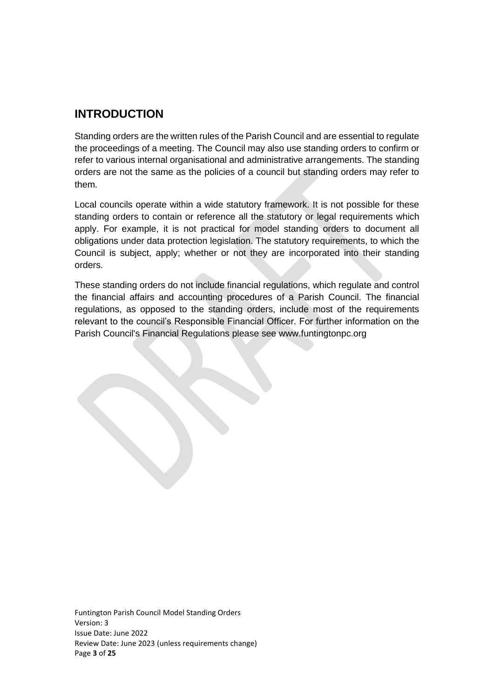## **INTRODUCTION**

Standing orders are the written rules of the Parish Council and are essential to regulate the proceedings of a meeting. The Council may also use standing orders to confirm or refer to various internal organisational and administrative arrangements. The standing orders are not the same as the policies of a council but standing orders may refer to them.

Local councils operate within a wide statutory framework. It is not possible for these standing orders to contain or reference all the statutory or legal requirements which apply. For example, it is not practical for model standing orders to document all obligations under data protection legislation. The statutory requirements, to which the Council is subject, apply; whether or not they are incorporated into their standing orders.

These standing orders do not include financial regulations, which regulate and control the financial affairs and accounting procedures of a Parish Council. The financial regulations, as opposed to the standing orders, include most of the requirements relevant to the council's Responsible Financial Officer. For further information on the Parish Council's Financial Regulations please see www.funtingtonpc.org

Funtington Parish Council Model Standing Orders Version: 3 Issue Date: June 2022 Review Date: June 2023 (unless requirements change) Page **3** of **25**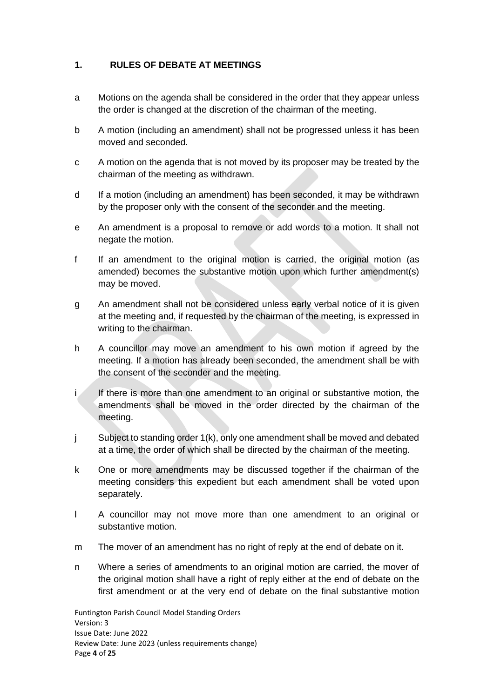## <span id="page-3-0"></span>**1. RULES OF DEBATE AT MEETINGS**

- a Motions on the agenda shall be considered in the order that they appear unless the order is changed at the discretion of the chairman of the meeting.
- b A motion (including an amendment) shall not be progressed unless it has been moved and seconded.
- c A motion on the agenda that is not moved by its proposer may be treated by the chairman of the meeting as withdrawn.
- d If a motion (including an amendment) has been seconded, it may be withdrawn by the proposer only with the consent of the seconder and the meeting.
- e An amendment is a proposal to remove or add words to a motion. It shall not negate the motion.
- f If an amendment to the original motion is carried, the original motion (as amended) becomes the substantive motion upon which further amendment(s) may be moved.
- g An amendment shall not be considered unless early verbal notice of it is given at the meeting and, if requested by the chairman of the meeting, is expressed in writing to the chairman.
- h A councillor may move an amendment to his own motion if agreed by the meeting. If a motion has already been seconded, the amendment shall be with the consent of the seconder and the meeting.
- i If there is more than one amendment to an original or substantive motion, the amendments shall be moved in the order directed by the chairman of the meeting.
- j Subject to standing order 1(k), only one amendment shall be moved and debated at a time, the order of which shall be directed by the chairman of the meeting.
- k One or more amendments may be discussed together if the chairman of the meeting considers this expedient but each amendment shall be voted upon separately.
- l A councillor may not move more than one amendment to an original or substantive motion.
- m The mover of an amendment has no right of reply at the end of debate on it.
- n Where a series of amendments to an original motion are carried, the mover of the original motion shall have a right of reply either at the end of debate on the first amendment or at the very end of debate on the final substantive motion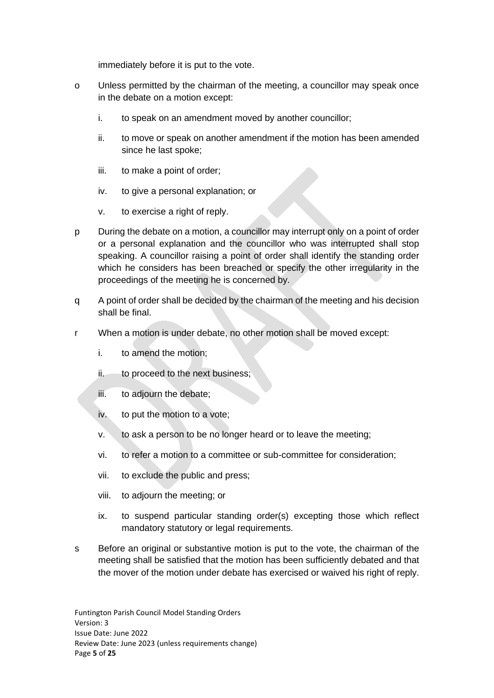immediately before it is put to the vote.

- o Unless permitted by the chairman of the meeting, a councillor may speak once in the debate on a motion except:
	- i. to speak on an amendment moved by another councillor;
	- ii. to move or speak on another amendment if the motion has been amended since he last spoke;
	- iii. to make a point of order;
	- iv. to give a personal explanation; or
	- v. to exercise a right of reply.
- p During the debate on a motion, a councillor may interrupt only on a point of order or a personal explanation and the councillor who was interrupted shall stop speaking. A councillor raising a point of order shall identify the standing order which he considers has been breached or specify the other irregularity in the proceedings of the meeting he is concerned by.
- q A point of order shall be decided by the chairman of the meeting and his decision shall be final.
- r When a motion is under debate, no other motion shall be moved except:
	- i. to amend the motion;
	- ii. to proceed to the next business;
	- iii. to adjourn the debate;
	- iv. to put the motion to a vote;
	- v. to ask a person to be no longer heard or to leave the meeting;
	- vi. to refer a motion to a committee or sub-committee for consideration;
	- vii. to exclude the public and press;
	- viii. to adjourn the meeting; or
	- ix. to suspend particular standing order(s) excepting those which reflect mandatory statutory or legal requirements.
- s Before an original or substantive motion is put to the vote, the chairman of the meeting shall be satisfied that the motion has been sufficiently debated and that the mover of the motion under debate has exercised or waived his right of reply.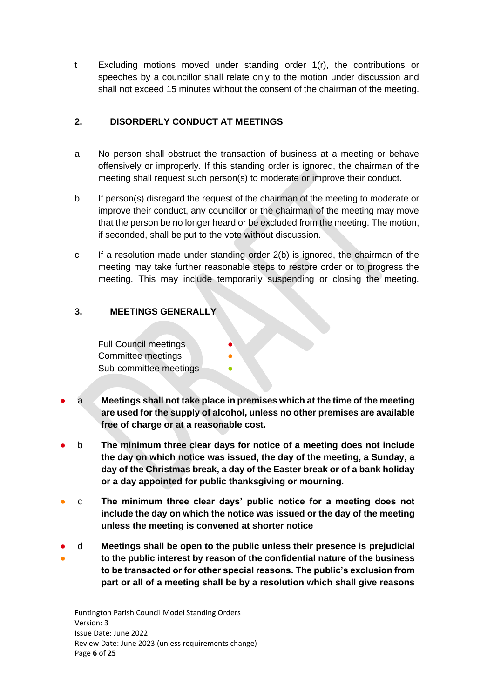t Excluding motions moved under standing order 1(r), the contributions or speeches by a councillor shall relate only to the motion under discussion and shall not exceed 15 minutes without the consent of the chairman of the meeting.

## <span id="page-5-0"></span>**2. DISORDERLY CONDUCT AT MEETINGS**

- a No person shall obstruct the transaction of business at a meeting or behave offensively or improperly. If this standing order is ignored, the chairman of the meeting shall request such person(s) to moderate or improve their conduct.
- b If person(s) disregard the request of the chairman of the meeting to moderate or improve their conduct, any councillor or the chairman of the meeting may move that the person be no longer heard or be excluded from the meeting. The motion, if seconded, shall be put to the vote without discussion.
- c If a resolution made under standing order 2(b) is ignored, the chairman of the meeting may take further reasonable steps to restore order or to progress the meeting. This may include temporarily suspending or closing the meeting.

## <span id="page-5-1"></span>**3. MEETINGS GENERALLY**

Full Council meetings Committee meetings Sub-committee meetings

- a **Meetings shall not take place in premises which at the time of the meeting are used for the supply of alcohol, unless no other premises are available free of charge or at a reasonable cost.**
- b **The minimum three clear days for notice of a meeting does not include the day on which notice was issued, the day of the meeting, a Sunday, a day of the Christmas break, a day of the Easter break or of a bank holiday or a day appointed for public thanksgiving or mourning.**
- c **The minimum three clear days' public notice for a meeting does not include the day on which the notice was issued or the day of the meeting unless the meeting is convened at shorter notice**
- ● d **Meetings shall be open to the public unless their presence is prejudicial to the public interest by reason of the confidential nature of the business to be transacted or for other special reasons. The public's exclusion from part or all of a meeting shall be by a resolution which shall give reasons**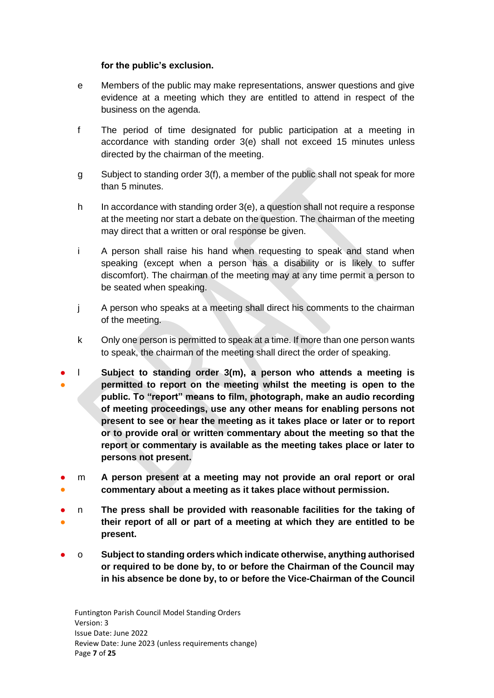#### **for the public's exclusion.**

- e Members of the public may make representations, answer questions and give evidence at a meeting which they are entitled to attend in respect of the business on the agenda.
- f The period of time designated for public participation at a meeting in accordance with standing order 3(e) shall not exceed 15 minutes unless directed by the chairman of the meeting.
- g Subject to standing order 3(f), a member of the public shall not speak for more than 5 minutes.
- h In accordance with standing order 3(e), a question shall not require a response at the meeting nor start a debate on the question. The chairman of the meeting may direct that a written or oral response be given.
- i A person shall raise his hand when requesting to speak and stand when speaking (except when a person has a disability or is likely to suffer discomfort). The chairman of the meeting may at any time permit a person to be seated when speaking.
- j A person who speaks at a meeting shall direct his comments to the chairman of the meeting.
- k Only one person is permitted to speak at a time. If more than one person wants to speak, the chairman of the meeting shall direct the order of speaking.
- ● l **Subject to standing order 3(m), a person who attends a meeting is permitted to report on the meeting whilst the meeting is open to the public. To "report" means to film, photograph, make an audio recording of meeting proceedings, use any other means for enabling persons not present to see or hear the meeting as it takes place or later or to report or to provide oral or written commentary about the meeting so that the report or commentary is available as the meeting takes place or later to persons not present.**
- ● m **A person present at a meeting may not provide an oral report or oral commentary about a meeting as it takes place without permission.**
- ● n **The press shall be provided with reasonable facilities for the taking of their report of all or part of a meeting at which they are entitled to be present.**
- o **Subject to standing orders which indicate otherwise, anything authorised or required to be done by, to or before the Chairman of the Council may in his absence be done by, to or before the Vice-Chairman of the Council**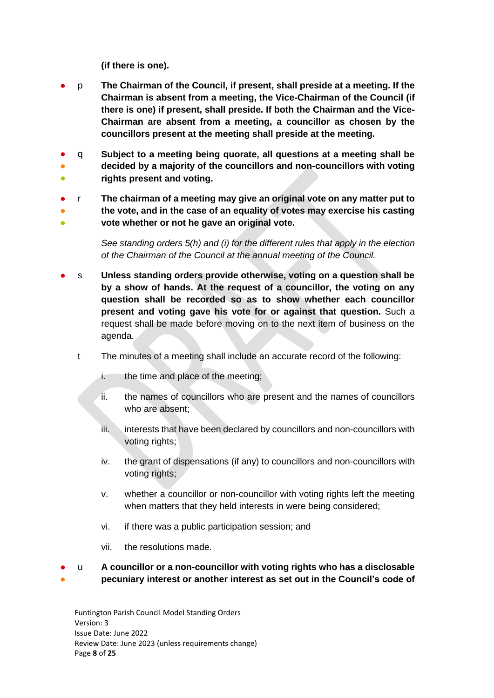**(if there is one).**

- p **The Chairman of the Council, if present, shall preside at a meeting. If the Chairman is absent from a meeting, the Vice-Chairman of the Council (if there is one) if present, shall preside. If both the Chairman and the Vice-Chairman are absent from a meeting, a councillor as chosen by the councillors present at the meeting shall preside at the meeting.**
- ● ● q **Subject to a meeting being quorate, all questions at a meeting shall be decided by a majority of the councillors and non-councillors with voting rights present and voting.**
- ● ● r **The chairman of a meeting may give an original vote on any matter put to the vote, and in the case of an equality of votes may exercise his casting vote whether or not he gave an original vote.**

*See standing orders 5(h) and (i) for the different rules that apply in the election of the Chairman of the Council at the annual meeting of the Council.*

- s Unless standing orders provide otherwise, voting on a question shall be **by a show of hands. At the request of a councillor, the voting on any question shall be recorded so as to show whether each councillor present and voting gave his vote for or against that question.** Such a request shall be made before moving on to the next item of business on the agenda.
	- t The minutes of a meeting shall include an accurate record of the following:
		- i. the time and place of the meeting;
		- ii. the names of councillors who are present and the names of councillors who are absent;
		- iii. interests that have been declared by councillors and non-councillors with voting rights;
		- iv. the grant of dispensations (if any) to councillors and non-councillors with voting rights;
		- v. whether a councillor or non-councillor with voting rights left the meeting when matters that they held interests in were being considered;
		- vi. if there was a public participation session; and
		- vii. the resolutions made.

#### ● ● u **A councillor or a non-councillor with voting rights who has a disclosable pecuniary interest or another interest as set out in the Council's code of**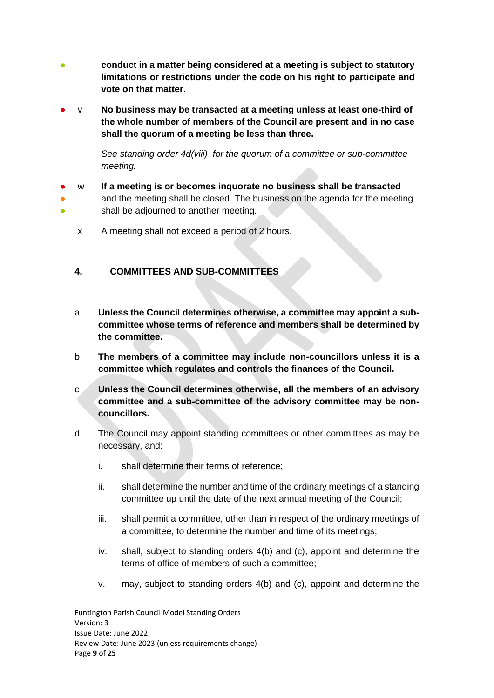- **conduct in a matter being considered at a meeting is subject to statutory limitations or restrictions under the code on his right to participate and vote on that matter.**
- v **No business may be transacted at a meeting unless at least one-third of the whole number of members of the Council are present and in no case shall the quorum of a meeting be less than three.**

*See standing order 4d(viii) for the quorum of a committee or sub-committee meeting.* 

- ● ● w **If a meeting is or becomes inquorate no business shall be transacted** and the meeting shall be closed. The business on the agenda for the meeting shall be adjourned to another meeting.
	- x A meeting shall not exceed a period of 2 hours.

## <span id="page-8-0"></span>**4. COMMITTEES AND SUB-COMMITTEES**

- a **Unless the Council determines otherwise, a committee may appoint a subcommittee whose terms of reference and members shall be determined by the committee.**
- b **The members of a committee may include non-councillors unless it is a committee which regulates and controls the finances of the Council.**
- c **Unless the Council determines otherwise, all the members of an advisory committee and a sub-committee of the advisory committee may be noncouncillors.**
- d The Council may appoint standing committees or other committees as may be necessary, and:
	- i. shall determine their terms of reference;
	- ii. shall determine the number and time of the ordinary meetings of a standing committee up until the date of the next annual meeting of the Council;
	- iii. shall permit a committee, other than in respect of the ordinary meetings of a committee, to determine the number and time of its meetings;
	- iv. shall, subject to standing orders 4(b) and (c), appoint and determine the terms of office of members of such a committee;
	- v. may, subject to standing orders 4(b) and (c), appoint and determine the

Funtington Parish Council Model Standing Orders Version: 3 Issue Date: June 2022 Review Date: June 2023 (unless requirements change) Page **9** of **25**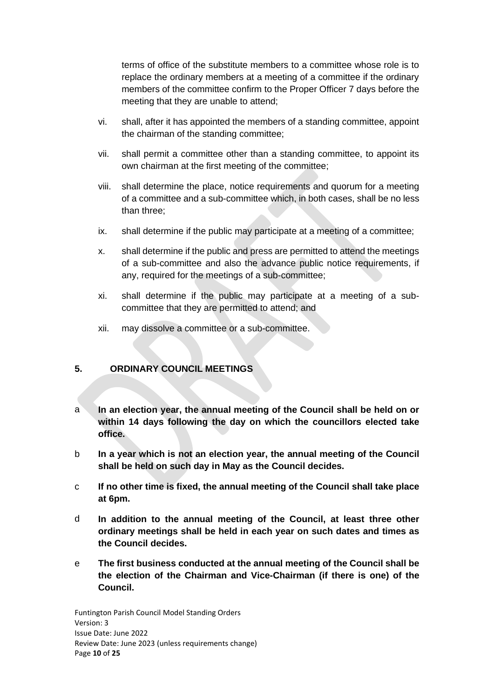terms of office of the substitute members to a committee whose role is to replace the ordinary members at a meeting of a committee if the ordinary members of the committee confirm to the Proper Officer 7 days before the meeting that they are unable to attend;

- vi. shall, after it has appointed the members of a standing committee, appoint the chairman of the standing committee;
- vii. shall permit a committee other than a standing committee, to appoint its own chairman at the first meeting of the committee;
- viii. shall determine the place, notice requirements and quorum for a meeting of a committee and a sub-committee which, in both cases, shall be no less than three;
- ix. shall determine if the public may participate at a meeting of a committee;
- x. shall determine if the public and press are permitted to attend the meetings of a sub-committee and also the advance public notice requirements, if any, required for the meetings of a sub-committee;
- xi. shall determine if the public may participate at a meeting of a subcommittee that they are permitted to attend; and
- xii. may dissolve a committee or a sub-committee.

#### <span id="page-9-0"></span>**5. ORDINARY COUNCIL MEETINGS**

- a **In an election year, the annual meeting of the Council shall be held on or within 14 days following the day on which the councillors elected take office.**
- b **In a year which is not an election year, the annual meeting of the Council shall be held on such day in May as the Council decides.**
- c **If no other time is fixed, the annual meeting of the Council shall take place at 6pm.**
- d **In addition to the annual meeting of the Council, at least three other ordinary meetings shall be held in each year on such dates and times as the Council decides.**
- e **The first business conducted at the annual meeting of the Council shall be the election of the Chairman and Vice-Chairman (if there is one) of the Council.**

Funtington Parish Council Model Standing Orders Version: 3 Issue Date: June 2022 Review Date: June 2023 (unless requirements change) Page **10** of **25**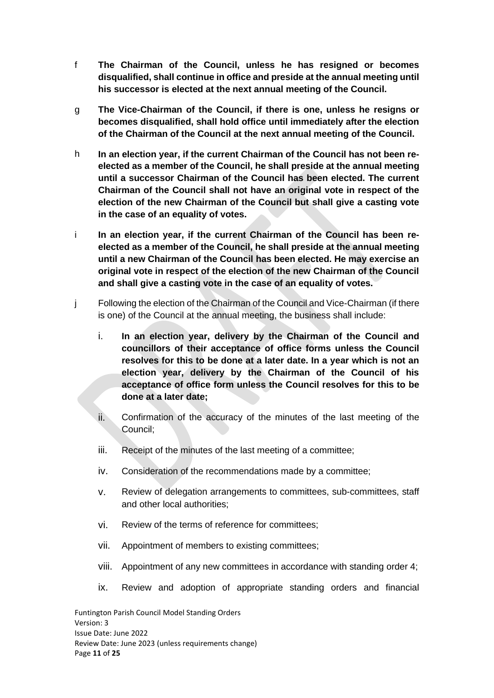- f **The Chairman of the Council, unless he has resigned or becomes disqualified, shall continue in office and preside at the annual meeting until his successor is elected at the next annual meeting of the Council.**
- g **The Vice-Chairman of the Council, if there is one, unless he resigns or becomes disqualified, shall hold office until immediately after the election of the Chairman of the Council at the next annual meeting of the Council.**
- h **In an election year, if the current Chairman of the Council has not been reelected as a member of the Council, he shall preside at the annual meeting until a successor Chairman of the Council has been elected. The current Chairman of the Council shall not have an original vote in respect of the election of the new Chairman of the Council but shall give a casting vote in the case of an equality of votes.**
- i **In an election year, if the current Chairman of the Council has been reelected as a member of the Council, he shall preside at the annual meeting until a new Chairman of the Council has been elected. He may exercise an original vote in respect of the election of the new Chairman of the Council and shall give a casting vote in the case of an equality of votes.**
- j Following the election of the Chairman of the Council and Vice-Chairman (if there is one) of the Council at the annual meeting, the business shall include:
	- i. **In an election year, delivery by the Chairman of the Council and councillors of their acceptance of office forms unless the Council resolves for this to be done at a later date. In a year which is not an election year, delivery by the Chairman of the Council of his acceptance of office form unless the Council resolves for this to be done at a later date;**
	- ii. Confirmation of the accuracy of the minutes of the last meeting of the Council;
	- iii. Receipt of the minutes of the last meeting of a committee;
	- iv. Consideration of the recommendations made by a committee;
	- v. Review of delegation arrangements to committees, sub-committees, staff and other local authorities;
	- vi. Review of the terms of reference for committees;
	- vii. Appointment of members to existing committees;
	- viii. Appointment of any new committees in accordance with standing order 4;
	- ix. Review and adoption of appropriate standing orders and financial

Funtington Parish Council Model Standing Orders Version: 3 Issue Date: June 2022 Review Date: June 2023 (unless requirements change) Page **11** of **25**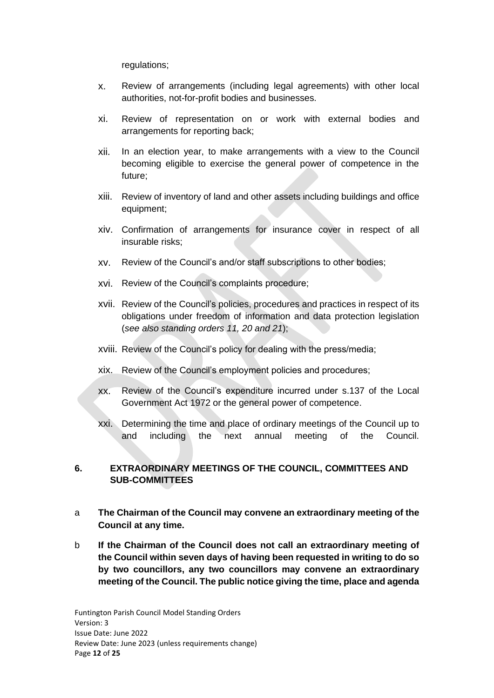regulations;

- x. Review of arrangements (including legal agreements) with other local authorities, not-for-profit bodies and businesses.
- xi. Review of representation on or work with external bodies and arrangements for reporting back;
- xii. In an election year, to make arrangements with a view to the Council becoming eligible to exercise the general power of competence in the future;
- xiii. Review of inventory of land and other assets including buildings and office equipment;
- xiv. Confirmation of arrangements for insurance cover in respect of all insurable risks;
- xv. Review of the Council's and/or staff subscriptions to other bodies;
- xvi. Review of the Council's complaints procedure;
- xvii. Review of the Council's policies, procedures and practices in respect of its obligations under freedom of information and data protection legislation (*see also standing orders 11, 20 and 21*);
- xviii. Review of the Council's policy for dealing with the press/media;
- xix. Review of the Council's employment policies and procedures;
- xx. Review of the Council's expenditure incurred under s.137 of the Local Government Act 1972 or the general power of competence.
- xxi. Determining the time and place of ordinary meetings of the Council up to and including the next annual meeting of the Council.

## <span id="page-11-0"></span>**6. EXTRAORDINARY MEETINGS OF THE COUNCIL, COMMITTEES AND SUB-COMMITTEES**

- a **The Chairman of the Council may convene an extraordinary meeting of the Council at any time.**
- b **If the Chairman of the Council does not call an extraordinary meeting of the Council within seven days of having been requested in writing to do so by two councillors, any two councillors may convene an extraordinary meeting of the Council. The public notice giving the time, place and agenda**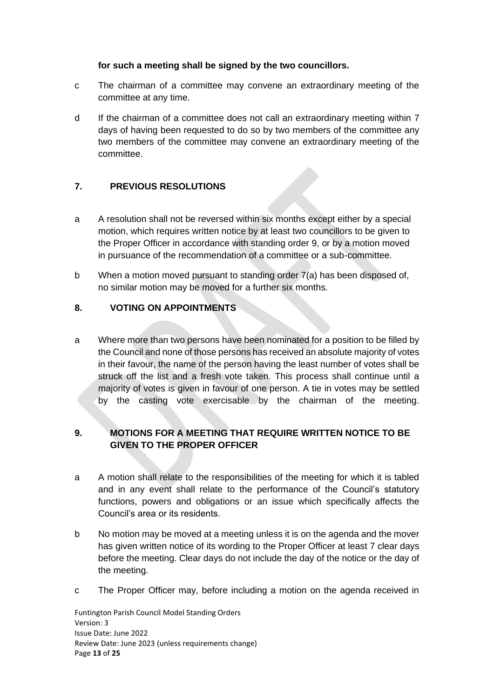## **for such a meeting shall be signed by the two councillors.**

- c The chairman of a committee may convene an extraordinary meeting of the committee at any time.
- d If the chairman of a committee does not call an extraordinary meeting within 7 days of having been requested to do so by two members of the committee any two members of the committee may convene an extraordinary meeting of the committee.

## <span id="page-12-0"></span>**7. PREVIOUS RESOLUTIONS**

- a A resolution shall not be reversed within six months except either by a special motion, which requires written notice by at least two councillors to be given to the Proper Officer in accordance with standing order 9, or by a motion moved in pursuance of the recommendation of a committee or a sub-committee.
- b When a motion moved pursuant to standing order 7(a) has been disposed of, no similar motion may be moved for a further six months.

## <span id="page-12-1"></span>**8. VOTING ON APPOINTMENTS**

a Where more than two persons have been nominated for a position to be filled by the Council and none of those persons has received an absolute majority of votes in their favour, the name of the person having the least number of votes shall be struck off the list and a fresh vote taken. This process shall continue until a majority of votes is given in favour of one person. A tie in votes may be settled by the casting vote exercisable by the chairman of the meeting.

## <span id="page-12-2"></span>**9. MOTIONS FOR A MEETING THAT REQUIRE WRITTEN NOTICE TO BE GIVEN TO THE PROPER OFFICER**

- a A motion shall relate to the responsibilities of the meeting for which it is tabled and in any event shall relate to the performance of the Council's statutory functions, powers and obligations or an issue which specifically affects the Council's area or its residents.
- b No motion may be moved at a meeting unless it is on the agenda and the mover has given written notice of its wording to the Proper Officer at least 7 clear days before the meeting. Clear days do not include the day of the notice or the day of the meeting.
- c The Proper Officer may, before including a motion on the agenda received in

Funtington Parish Council Model Standing Orders Version: 3 Issue Date: June 2022 Review Date: June 2023 (unless requirements change) Page **13** of **25**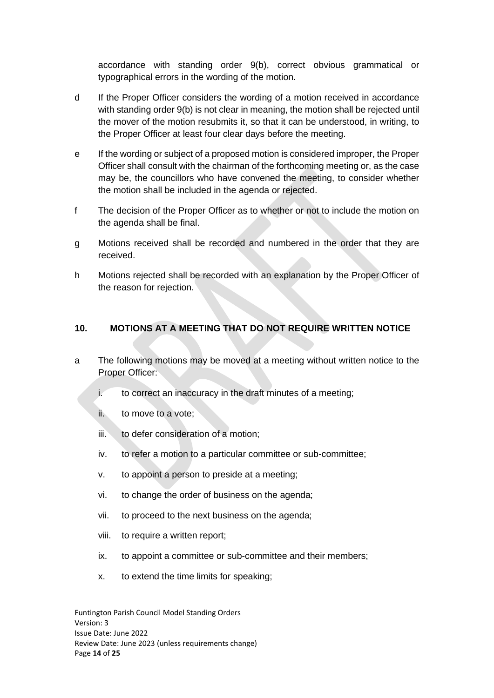accordance with standing order 9(b), correct obvious grammatical or typographical errors in the wording of the motion.

- d If the Proper Officer considers the wording of a motion received in accordance with standing order 9(b) is not clear in meaning, the motion shall be rejected until the mover of the motion resubmits it, so that it can be understood, in writing, to the Proper Officer at least four clear days before the meeting.
- e If the wording or subject of a proposed motion is considered improper, the Proper Officer shall consult with the chairman of the forthcoming meeting or, as the case may be, the councillors who have convened the meeting, to consider whether the motion shall be included in the agenda or rejected.
- f The decision of the Proper Officer as to whether or not to include the motion on the agenda shall be final.
- g Motions received shall be recorded and numbered in the order that they are received.
- h Motions rejected shall be recorded with an explanation by the Proper Officer of the reason for rejection.

## <span id="page-13-0"></span>**10. MOTIONS AT A MEETING THAT DO NOT REQUIRE WRITTEN NOTICE**

- a The following motions may be moved at a meeting without written notice to the Proper Officer:
	- i. to correct an inaccuracy in the draft minutes of a meeting;
	- ii. to move to a vote;
	- iii. to defer consideration of a motion;
	- iv. to refer a motion to a particular committee or sub-committee;
	- v. to appoint a person to preside at a meeting;
	- vi. to change the order of business on the agenda;
	- vii. to proceed to the next business on the agenda;
	- viii. to require a written report;
	- ix. to appoint a committee or sub-committee and their members;
	- x. to extend the time limits for speaking;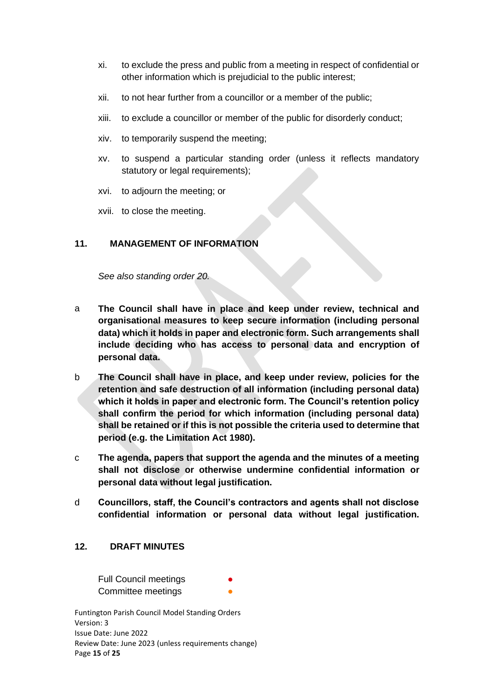- xi. to exclude the press and public from a meeting in respect of confidential or other information which is prejudicial to the public interest;
- xii. to not hear further from a councillor or a member of the public;
- xiii. to exclude a councillor or member of the public for disorderly conduct;
- xiv. to temporarily suspend the meeting;
- xv. to suspend a particular standing order (unless it reflects mandatory statutory or legal requirements);
- xvi. to adjourn the meeting; or
- xvii. to close the meeting.

#### <span id="page-14-0"></span>**11. MANAGEMENT OF INFORMATION**

*See also standing order 20.*

- a **The Council shall have in place and keep under review, technical and organisational measures to keep secure information (including personal data) which it holds in paper and electronic form. Such arrangements shall include deciding who has access to personal data and encryption of personal data.**
- b **The Council shall have in place, and keep under review, policies for the retention and safe destruction of all information (including personal data) which it holds in paper and electronic form. The Council's retention policy shall confirm the period for which information (including personal data) shall be retained or if this is not possible the criteria used to determine that period (e.g. the Limitation Act 1980).**
- c **The agenda, papers that support the agenda and the minutes of a meeting shall not disclose or otherwise undermine confidential information or personal data without legal justification.**
- d **Councillors, staff, the Council's contractors and agents shall not disclose confidential information or personal data without legal justification.**

#### <span id="page-14-1"></span>**12. DRAFT MINUTES**

Full Council meetings Committee meetings

Funtington Parish Council Model Standing Orders Version: 3 Issue Date: June 2022 Review Date: June 2023 (unless requirements change) Page **15** of **25**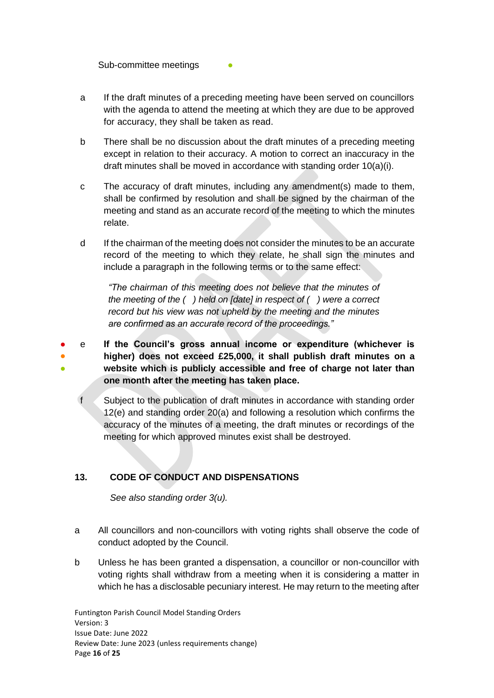Sub-committee meetings

- a If the draft minutes of a preceding meeting have been served on councillors with the agenda to attend the meeting at which they are due to be approved for accuracy, they shall be taken as read.
- b There shall be no discussion about the draft minutes of a preceding meeting except in relation to their accuracy. A motion to correct an inaccuracy in the draft minutes shall be moved in accordance with standing order 10(a)(i).
- c The accuracy of draft minutes, including any amendment(s) made to them, shall be confirmed by resolution and shall be signed by the chairman of the meeting and stand as an accurate record of the meeting to which the minutes relate.
- d If the chairman of the meeting does not consider the minutes to be an accurate record of the meeting to which they relate, he shall sign the minutes and include a paragraph in the following terms or to the same effect:

*"The chairman of this meeting does not believe that the minutes of the meeting of the ( ) held on [date] in respect of ( ) were a correct record but his view was not upheld by the meeting and the minutes are confirmed as an accurate record of the proceedings."*

● ● ● e **If the Council's gross annual income or expenditure (whichever is higher) does not exceed £25,000, it shall publish draft minutes on a website which is publicly accessible and free of charge not later than one month after the meeting has taken place.**

f Subject to the publication of draft minutes in accordance with standing order 12(e) and standing order 20(a) and following a resolution which confirms the accuracy of the minutes of a meeting, the draft minutes or recordings of the meeting for which approved minutes exist shall be destroyed.

## <span id="page-15-0"></span>**13. CODE OF CONDUCT AND DISPENSATIONS**

*See also standing order 3(u).*

- a All councillors and non-councillors with voting rights shall observe the code of conduct adopted by the Council.
- b Unless he has been granted a dispensation, a councillor or non-councillor with voting rights shall withdraw from a meeting when it is considering a matter in which he has a disclosable pecuniary interest. He may return to the meeting after

Funtington Parish Council Model Standing Orders Version: 3 Issue Date: June 2022 Review Date: June 2023 (unless requirements change) Page **16** of **25**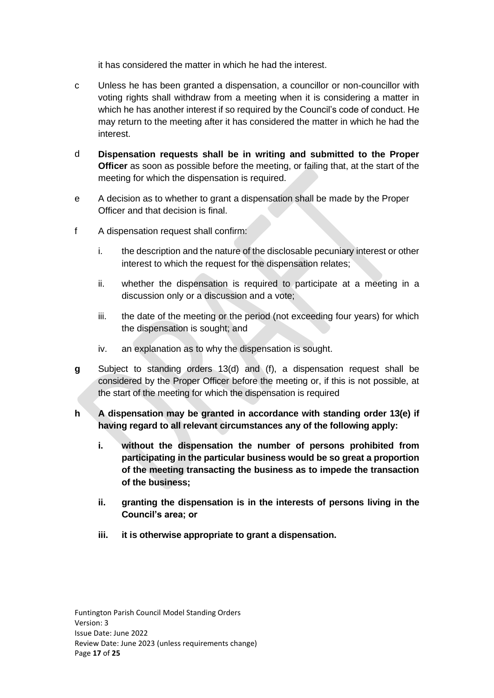it has considered the matter in which he had the interest.

- c Unless he has been granted a dispensation, a councillor or non-councillor with voting rights shall withdraw from a meeting when it is considering a matter in which he has another interest if so required by the Council's code of conduct. He may return to the meeting after it has considered the matter in which he had the interest.
- d **Dispensation requests shall be in writing and submitted to the Proper Officer** as soon as possible before the meeting, or failing that, at the start of the meeting for which the dispensation is required.
- e A decision as to whether to grant a dispensation shall be made by the Proper Officer and that decision is final.
- f A dispensation request shall confirm:
	- i. the description and the nature of the disclosable pecuniary interest or other interest to which the request for the dispensation relates;
	- ii. whether the dispensation is required to participate at a meeting in a discussion only or a discussion and a vote;
	- iii. the date of the meeting or the period (not exceeding four years) for which the dispensation is sought; and
	- iv. an explanation as to why the dispensation is sought.
- **g** Subject to standing orders 13(d) and (f), a dispensation request shall be considered by the Proper Officer before the meeting or, if this is not possible, at the start of the meeting for which the dispensation is required
- **h A dispensation may be granted in accordance with standing order 13(e) if having regard to all relevant circumstances any of the following apply:**
	- **i. without the dispensation the number of persons prohibited from participating in the particular business would be so great a proportion of the meeting transacting the business as to impede the transaction of the business;**
	- **ii. granting the dispensation is in the interests of persons living in the Council's area; or**
	- **iii. it is otherwise appropriate to grant a dispensation.**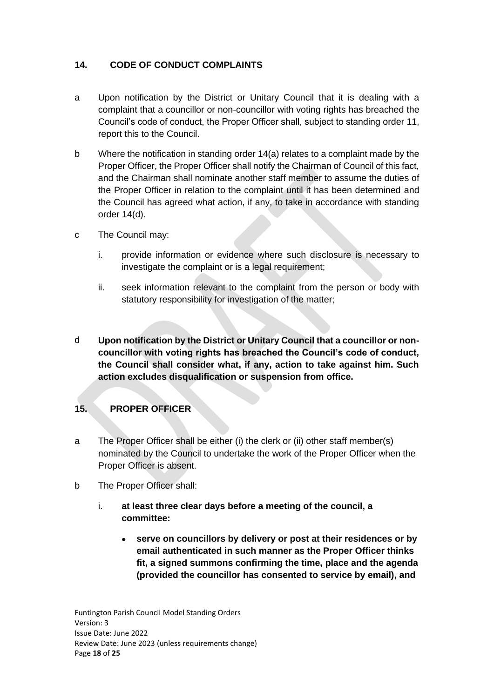## <span id="page-17-0"></span>**14. CODE OF CONDUCT COMPLAINTS**

- a Upon notification by the District or Unitary Council that it is dealing with a complaint that a councillor or non-councillor with voting rights has breached the Council's code of conduct, the Proper Officer shall, subject to standing order 11, report this to the Council.
- b Where the notification in standing order 14(a) relates to a complaint made by the Proper Officer, the Proper Officer shall notify the Chairman of Council of this fact, and the Chairman shall nominate another staff member to assume the duties of the Proper Officer in relation to the complaint until it has been determined and the Council has agreed what action, if any, to take in accordance with standing order 14(d).
- c The Council may:
	- i. provide information or evidence where such disclosure is necessary to investigate the complaint or is a legal requirement;
	- ii. seek information relevant to the complaint from the person or body with statutory responsibility for investigation of the matter;
- d **Upon notification by the District or Unitary Council that a councillor or noncouncillor with voting rights has breached the Council's code of conduct, the Council shall consider what, if any, action to take against him. Such action excludes disqualification or suspension from office.**

## <span id="page-17-1"></span>**15. PROPER OFFICER**

- a The Proper Officer shall be either (i) the clerk or (ii) other staff member(s) nominated by the Council to undertake the work of the Proper Officer when the Proper Officer is absent.
- b The Proper Officer shall:
	- i. **at least three clear days before a meeting of the council, a committee:**
		- **serve on councillors by delivery or post at their residences or by email authenticated in such manner as the Proper Officer thinks fit, a signed summons confirming the time, place and the agenda (provided the councillor has consented to service by email), and**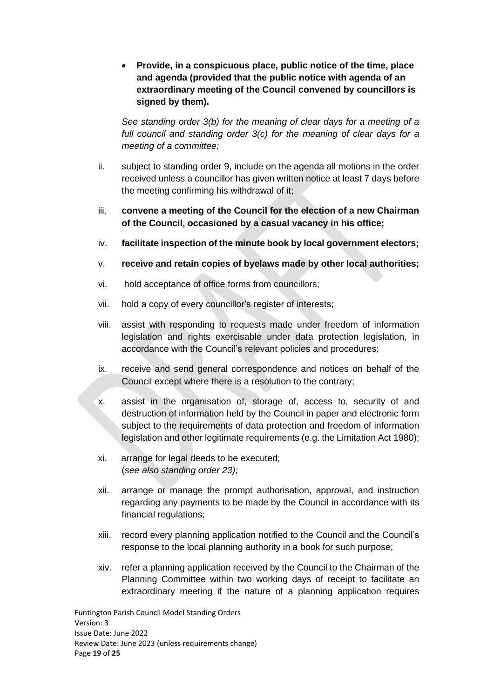• **Provide, in a conspicuous place, public notice of the time, place and agenda (provided that the public notice with agenda of an extraordinary meeting of the Council convened by councillors is signed by them).**

*See standing order 3(b) for the meaning of clear days for a meeting of a full council and standing order 3(c) for the meaning of clear days for a meeting of a committee;*

- ii. subject to standing order 9, include on the agenda all motions in the order received unless a councillor has given written notice at least 7 days before the meeting confirming his withdrawal of it;
- iii. **convene a meeting of the Council for the election of a new Chairman of the Council, occasioned by a casual vacancy in his office;**
- iv. **facilitate inspection of the minute book by local government electors;**
- v. **receive and retain copies of byelaws made by other local authorities;**
- vi. hold acceptance of office forms from councillors;
- vii. hold a copy of every councillor's register of interests;
- viii. assist with responding to requests made under freedom of information legislation and rights exercisable under data protection legislation, in accordance with the Council's relevant policies and procedures;
- ix. receive and send general correspondence and notices on behalf of the Council except where there is a resolution to the contrary;
- x. assist in the organisation of, storage of, access to, security of and destruction of information held by the Council in paper and electronic form subject to the requirements of data protection and freedom of information legislation and other legitimate requirements (e.g. the Limitation Act 1980);
- xi. arrange for legal deeds to be executed; (*see also standing order 23);*
- xii. arrange or manage the prompt authorisation, approval, and instruction regarding any payments to be made by the Council in accordance with its financial regulations;
- xiii. record every planning application notified to the Council and the Council's response to the local planning authority in a book for such purpose;
- xiv. refer a planning application received by the Council to the Chairman of the Planning Committee within two working days of receipt to facilitate an extraordinary meeting if the nature of a planning application requires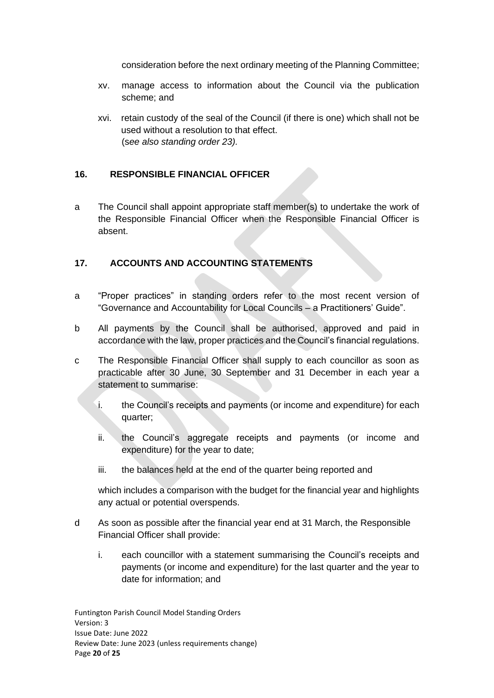consideration before the next ordinary meeting of the Planning Committee;

- xv. manage access to information about the Council via the publication scheme; and
- xvi. retain custody of the seal of the Council (if there is one) which shall not be used without a resolution to that effect. (s*ee also standing order 23).*

## <span id="page-19-0"></span>**16. RESPONSIBLE FINANCIAL OFFICER**

a The Council shall appoint appropriate staff member(s) to undertake the work of the Responsible Financial Officer when the Responsible Financial Officer is absent.

## <span id="page-19-1"></span>**17. ACCOUNTS AND ACCOUNTING STATEMENTS**

- a "Proper practices" in standing orders refer to the most recent version of "Governance and Accountability for Local Councils – a Practitioners' Guide".
- b All payments by the Council shall be authorised, approved and paid in accordance with the law, proper practices and the Council's financial regulations.
- c The Responsible Financial Officer shall supply to each councillor as soon as practicable after 30 June, 30 September and 31 December in each year a statement to summarise:
	- i. the Council's receipts and payments (or income and expenditure) for each quarter;
	- ii. the Council's aggregate receipts and payments (or income and expenditure) for the year to date;
	- iii. the balances held at the end of the quarter being reported and

which includes a comparison with the budget for the financial year and highlights any actual or potential overspends.

- d As soon as possible after the financial year end at 31 March, the Responsible Financial Officer shall provide:
	- i. each councillor with a statement summarising the Council's receipts and payments (or income and expenditure) for the last quarter and the year to date for information; and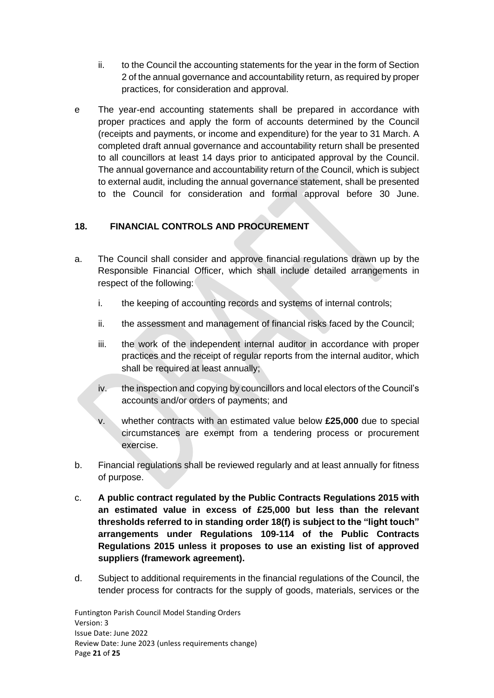- ii. to the Council the accounting statements for the year in the form of Section 2 of the annual governance and accountability return, as required by proper practices, for consideration and approval.
- e The year-end accounting statements shall be prepared in accordance with proper practices and apply the form of accounts determined by the Council (receipts and payments, or income and expenditure) for the year to 31 March. A completed draft annual governance and accountability return shall be presented to all councillors at least 14 days prior to anticipated approval by the Council. The annual governance and accountability return of the Council, which is subject to external audit, including the annual governance statement, shall be presented to the Council for consideration and formal approval before 30 June.

## <span id="page-20-0"></span>**18. FINANCIAL CONTROLS AND PROCUREMENT**

- a. The Council shall consider and approve financial regulations drawn up by the Responsible Financial Officer, which shall include detailed arrangements in respect of the following:
	- i. the keeping of accounting records and systems of internal controls;
	- ii. the assessment and management of financial risks faced by the Council;
	- iii. the work of the independent internal auditor in accordance with proper practices and the receipt of regular reports from the internal auditor, which shall be required at least annually;
	- iv. the inspection and copying by councillors and local electors of the Council's accounts and/or orders of payments; and
	- v. whether contracts with an estimated value below **£25,000** due to special circumstances are exempt from a tendering process or procurement exercise.
- b. Financial regulations shall be reviewed regularly and at least annually for fitness of purpose.
- c. **A public contract regulated by the Public Contracts Regulations 2015 with an estimated value in excess of £25,000 but less than the relevant thresholds referred to in standing order 18(f) is subject to the "light touch" arrangements under Regulations 109-114 of the Public Contracts Regulations 2015 unless it proposes to use an existing list of approved suppliers (framework agreement).**
- d. Subject to additional requirements in the financial regulations of the Council, the tender process for contracts for the supply of goods, materials, services or the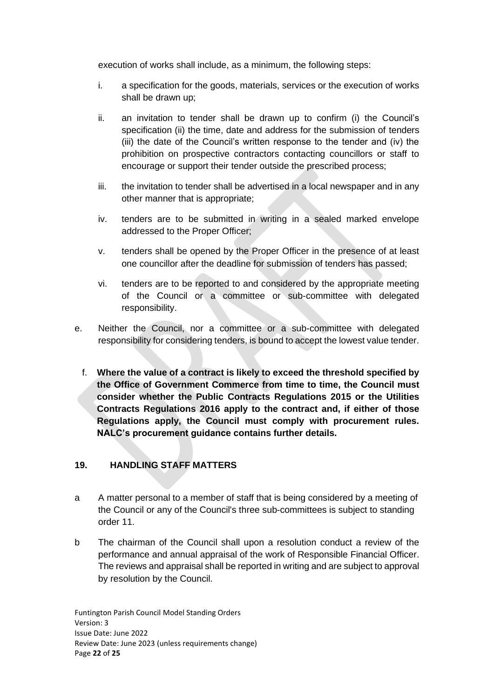execution of works shall include, as a minimum, the following steps:

- i. a specification for the goods, materials, services or the execution of works shall be drawn up;
- ii. an invitation to tender shall be drawn up to confirm (i) the Council's specification (ii) the time, date and address for the submission of tenders (iii) the date of the Council's written response to the tender and (iv) the prohibition on prospective contractors contacting councillors or staff to encourage or support their tender outside the prescribed process;
- iii. the invitation to tender shall be advertised in a local newspaper and in any other manner that is appropriate;
- iv. tenders are to be submitted in writing in a sealed marked envelope addressed to the Proper Officer;
- v. tenders shall be opened by the Proper Officer in the presence of at least one councillor after the deadline for submission of tenders has passed;
- vi. tenders are to be reported to and considered by the appropriate meeting of the Council or a committee or sub-committee with delegated responsibility.
- e. Neither the Council, nor a committee or a sub-committee with delegated responsibility for considering tenders, is bound to accept the lowest value tender.
	- f. **Where the value of a contract is likely to exceed the threshold specified by the Office of Government Commerce from time to time, the Council must consider whether the Public Contracts Regulations 2015 or the Utilities Contracts Regulations 2016 apply to the contract and, if either of those Regulations apply, the Council must comply with procurement rules. NALC's procurement guidance contains further details.**

## <span id="page-21-0"></span>**19. HANDLING STAFF MATTERS**

- a A matter personal to a member of staff that is being considered by a meeting of the Council or any of the Council's three sub-committees is subject to standing order 11.
- b The chairman of the Council shall upon a resolution conduct a review of the performance and annual appraisal of the work of Responsible Financial Officer. The reviews and appraisal shall be reported in writing and are subject to approval by resolution by the Council.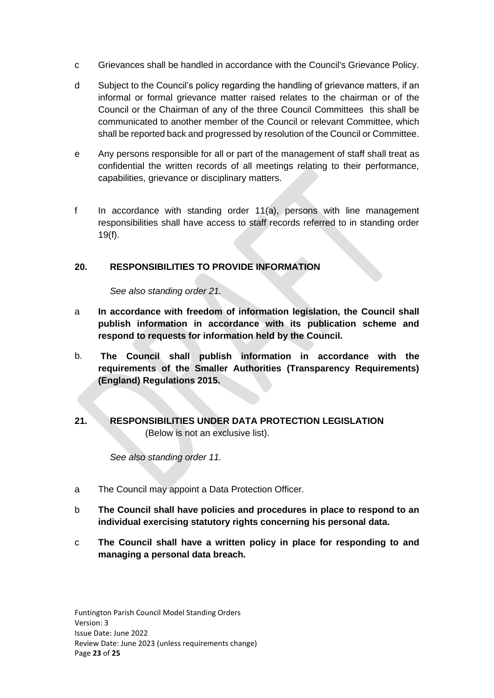- c Grievances shall be handled in accordance with the Council's Grievance Policy.
- d Subject to the Council's policy regarding the handling of grievance matters, if an informal or formal grievance matter raised relates to the chairman or of the Council or the Chairman of any of the three Council Committees this shall be communicated to another member of the Council or relevant Committee, which shall be reported back and progressed by resolution of the Council or Committee.
- e Any persons responsible for all or part of the management of staff shall treat as confidential the written records of all meetings relating to their performance, capabilities, grievance or disciplinary matters.
- f In accordance with standing order 11(a), persons with line management responsibilities shall have access to staff records referred to in standing order 19(f).

## <span id="page-22-0"></span>**20. RESPONSIBILITIES TO PROVIDE INFORMATION**

*See also standing order 21.*

- a **In accordance with freedom of information legislation, the Council shall publish information in accordance with its publication scheme and respond to requests for information held by the Council.**
- b. **The Council shall publish information in accordance with the requirements of the Smaller Authorities (Transparency Requirements) (England) Regulations 2015.**
- <span id="page-22-1"></span>**21. RESPONSIBILITIES UNDER DATA PROTECTION LEGISLATION**  (Below is not an exclusive list).

*See also standing order 11.*

- a The Council may appoint a Data Protection Officer.
- b **The Council shall have policies and procedures in place to respond to an individual exercising statutory rights concerning his personal data.**
- c **The Council shall have a written policy in place for responding to and managing a personal data breach.**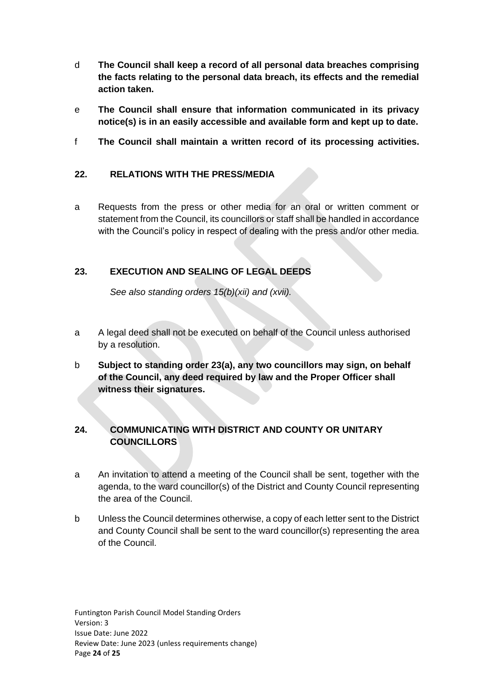- d **The Council shall keep a record of all personal data breaches comprising the facts relating to the personal data breach, its effects and the remedial action taken.**
- e **The Council shall ensure that information communicated in its privacy notice(s) is in an easily accessible and available form and kept up to date.**
- f **The Council shall maintain a written record of its processing activities.**

## <span id="page-23-0"></span>**22. RELATIONS WITH THE PRESS/MEDIA**

a Requests from the press or other media for an oral or written comment or statement from the Council, its councillors or staff shall be handled in accordance with the Council's policy in respect of dealing with the press and/or other media.

## <span id="page-23-1"></span>**23. EXECUTION AND SEALING OF LEGAL DEEDS**

*See also standing orders 15(b)(xii) and (xvii).*

- a A legal deed shall not be executed on behalf of the Council unless authorised by a resolution.
- b **Subject to standing order 23(a), any two councillors may sign, on behalf of the Council, any deed required by law and the Proper Officer shall witness their signatures.**

## <span id="page-23-2"></span>**24. COMMUNICATING WITH DISTRICT AND COUNTY OR UNITARY COUNCILLORS**

- a An invitation to attend a meeting of the Council shall be sent, together with the agenda, to the ward councillor(s) of the District and County Council representing the area of the Council.
- b Unless the Council determines otherwise, a copy of each letter sent to the District and County Council shall be sent to the ward councillor(s) representing the area of the Council.